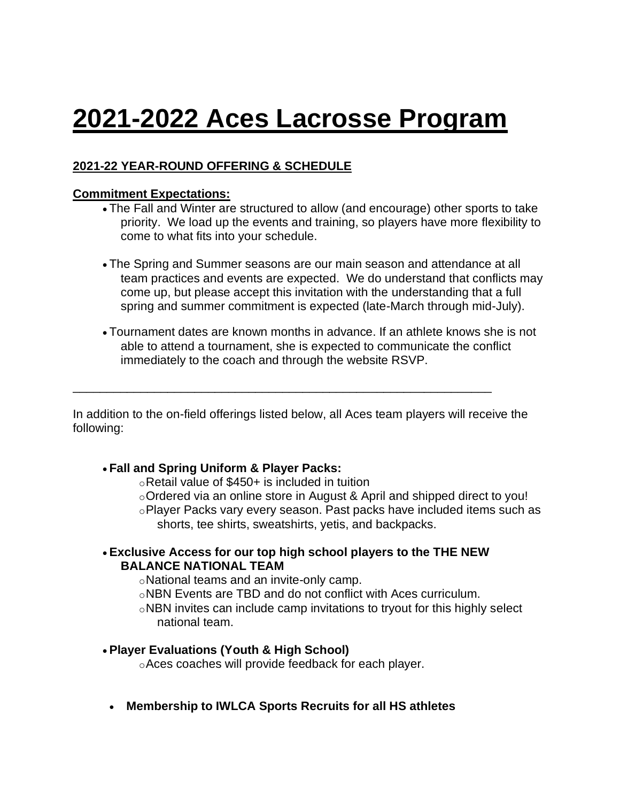# **2021-2022 Aces Lacrosse Program**

# **2021-22 YEAR-ROUND OFFERING & SCHEDULE**

#### **Commitment Expectations:**

- The Fall and Winter are structured to allow (and encourage) other sports to take priority. We load up the events and training, so players have more flexibility to come to what fits into your schedule.
- The Spring and Summer seasons are our main season and attendance at all team practices and events are expected. We do understand that conflicts may come up, but please accept this invitation with the understanding that a full spring and summer commitment is expected (late-March through mid-July).
- Tournament dates are known months in advance. If an athlete knows she is not able to attend a tournament, she is expected to communicate the conflict immediately to the coach and through the website RSVP.

In addition to the on-field offerings listed below, all Aces team players will receive the following:

\_\_\_\_\_\_\_\_\_\_\_\_\_\_\_\_\_\_\_\_\_\_\_\_\_\_\_\_\_\_\_\_\_\_\_\_\_\_\_\_\_\_\_\_\_\_\_\_\_\_\_\_\_\_\_\_\_\_\_\_\_\_

#### • **Fall and Spring Uniform & Player Packs:**

oRetail value of \$450+ is included in tuition

 $\circ$ Ordered via an online store in August & April and shipped direct to you! oPlayer Packs vary every season. Past packs have included items such as shorts, tee shirts, sweatshirts, yetis, and backpacks.

#### • **Exclusive Access for our top high school players to the THE NEW BALANCE NATIONAL TEAM**

oNational teams and an invite-only camp.

- oNBN Events are TBD and do not conflict with Aces curriculum.
- oNBN invites can include camp invitations to tryout for this highly select national team.

## • **Player Evaluations (Youth & High School)**

- oAces coaches will provide feedback for each player.
- **Membership to IWLCA Sports Recruits for all HS athletes**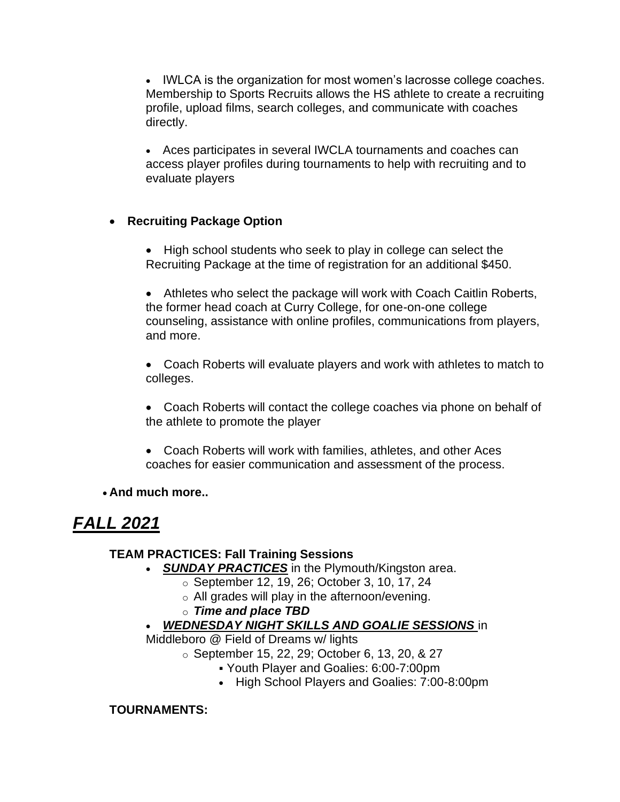• IWLCA is the organization for most women's lacrosse college coaches. Membership to Sports Recruits allows the HS athlete to create a recruiting profile, upload films, search colleges, and communicate with coaches directly.

• Aces participates in several IWCLA tournaments and coaches can access player profiles during tournaments to help with recruiting and to evaluate players

## • **Recruiting Package Option**

• High school students who seek to play in college can select the Recruiting Package at the time of registration for an additional \$450.

• Athletes who select the package will work with Coach Caitlin Roberts, the former head coach at Curry College, for one-on-one college counseling, assistance with online profiles, communications from players, and more.

• Coach Roberts will evaluate players and work with athletes to match to colleges.

• Coach Roberts will contact the college coaches via phone on behalf of the athlete to promote the player

• Coach Roberts will work with families, athletes, and other Aces coaches for easier communication and assessment of the process.

## • **And much more..**

# *FALL 2021*

## **TEAM PRACTICES: Fall Training Sessions**

- *SUNDAY PRACTICES* in the Plymouth/Kingston area.
	- o September 12, 19, 26; October 3, 10, 17, 24
	- o All grades will play in the afternoon/evening.
	- o *Time and place TBD*
- *WEDNESDAY NIGHT SKILLS AND GOALIE SESSIONS* in

Middleboro @ Field of Dreams w/ lights

- o September 15, 22, 29; October 6, 13, 20, & 27
	- Youth Player and Goalies: 6:00-7:00pm
	- High School Players and Goalies: 7:00-8:00pm

## **TOURNAMENTS:**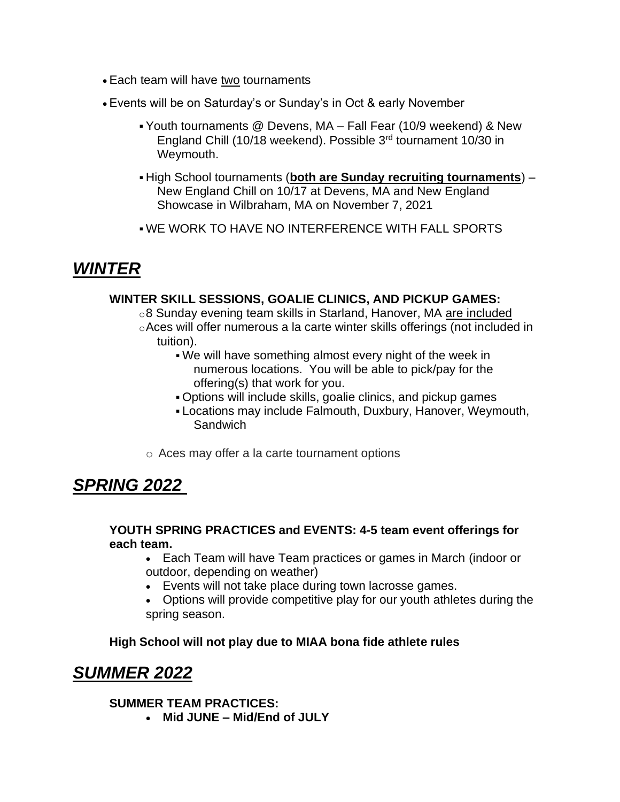- Each team will have two tournaments
- Events will be on Saturday's or Sunday's in Oct & early November
	- Youth tournaments @ Devens, MA Fall Fear (10/9 weekend) & New England Chill (10/18 weekend). Possible 3rd tournament 10/30 in Weymouth.
	- High School tournaments (**both are Sunday recruiting tournaments**) New England Chill on 10/17 at Devens, MA and New England Showcase in Wilbraham, MA on November 7, 2021
	- WE WORK TO HAVE NO INTERFERENCE WITH FALL SPORTS

# *WINTER*

#### **WINTER SKILL SESSIONS, GOALIE CLINICS, AND PICKUP GAMES:**

o8 Sunday evening team skills in Starland, Hanover, MA are included oAces will offer numerous a la carte winter skills offerings (not included in tuition).

- . We will have something almost every night of the week in numerous locations. You will be able to pick/pay for the offering(s) that work for you.
- Options will include skills, goalie clinics, and pickup games
- **Locations may include Falmouth, Duxbury, Hanover, Weymouth, Sandwich**
- o Aces may offer a la carte tournament options

# *SPRING 2022*

#### **YOUTH SPRING PRACTICES and EVENTS: 4-5 team event offerings for each team.**

- Each Team will have Team practices or games in March (indoor or outdoor, depending on weather)
- Events will not take place during town lacrosse games.
- Options will provide competitive play for our youth athletes during the spring season.

#### **High School will not play due to MIAA bona fide athlete rules**

# *SUMMER 2022*

# **SUMMER TEAM PRACTICES:**

• **Mid JUNE – Mid/End of JULY**